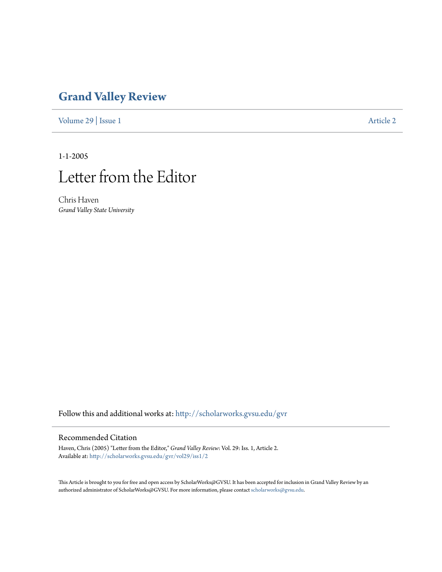## **[Grand Valley Review](http://scholarworks.gvsu.edu/gvr?utm_source=scholarworks.gvsu.edu%2Fgvr%2Fvol29%2Fiss1%2F2&utm_medium=PDF&utm_campaign=PDFCoverPages)**

[Volume 29](http://scholarworks.gvsu.edu/gvr/vol29?utm_source=scholarworks.gvsu.edu%2Fgvr%2Fvol29%2Fiss1%2F2&utm_medium=PDF&utm_campaign=PDFCoverPages) | [Issue 1](http://scholarworks.gvsu.edu/gvr/vol29/iss1?utm_source=scholarworks.gvsu.edu%2Fgvr%2Fvol29%2Fiss1%2F2&utm_medium=PDF&utm_campaign=PDFCoverPages) [Article 2](http://scholarworks.gvsu.edu/gvr/vol29/iss1/2?utm_source=scholarworks.gvsu.edu%2Fgvr%2Fvol29%2Fiss1%2F2&utm_medium=PDF&utm_campaign=PDFCoverPages)

1-1-2005



Chris Haven *Grand Valley State University*

Follow this and additional works at: [http://scholarworks.gvsu.edu/gvr](http://scholarworks.gvsu.edu/gvr?utm_source=scholarworks.gvsu.edu%2Fgvr%2Fvol29%2Fiss1%2F2&utm_medium=PDF&utm_campaign=PDFCoverPages)

## Recommended Citation

Haven, Chris (2005) "Letter from the Editor," *Grand Valley Review*: Vol. 29: Iss. 1, Article 2. Available at: [http://scholarworks.gvsu.edu/gvr/vol29/iss1/2](http://scholarworks.gvsu.edu/gvr/vol29/iss1/2?utm_source=scholarworks.gvsu.edu%2Fgvr%2Fvol29%2Fiss1%2F2&utm_medium=PDF&utm_campaign=PDFCoverPages)

This Article is brought to you for free and open access by ScholarWorks@GVSU. It has been accepted for inclusion in Grand Valley Review by an authorized administrator of ScholarWorks@GVSU. For more information, please contact [scholarworks@gvsu.edu.](mailto:scholarworks@gvsu.edu)